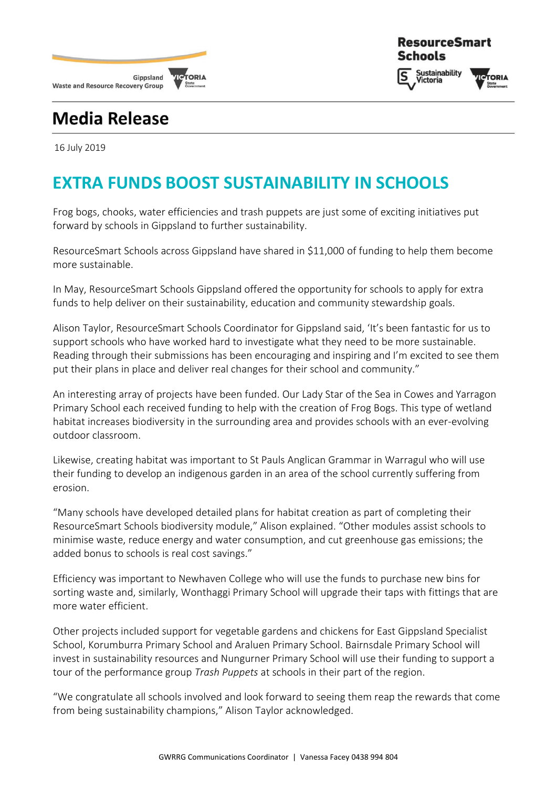

### **ResourceSmart Schools**

**Sustainability l**ictoria



# **Media Release**

16 July 2019

# **EXTRA FUNDS BOOST SUSTAINABILITY IN SCHOOLS**

Frog bogs, chooks, water efficiencies and trash puppets are just some of exciting initiatives put forward by schools in Gippsland to further sustainability.

ResourceSmart Schools across Gippsland have shared in \$11,000 of funding to help them become more sustainable.

In May, ResourceSmart Schools Gippsland offered the opportunity for schools to apply for extra funds to help deliver on their sustainability, education and community stewardship goals.

Alison Taylor, ResourceSmart Schools Coordinator for Gippsland said, 'It's been fantastic for us to support schools who have worked hard to investigate what they need to be more sustainable. Reading through their submissions has been encouraging and inspiring and I'm excited to see them put their plans in place and deliver real changes for their school and community."

An interesting array of projects have been funded. Our Lady Star of the Sea in Cowes and Yarragon Primary School each received funding to help with the creation of Frog Bogs. This type of wetland habitat increases biodiversity in the surrounding area and provides schools with an ever-evolving outdoor classroom.

Likewise, creating habitat was important to St Pauls Anglican Grammar in Warragul who will use their funding to develop an indigenous garden in an area of the school currently suffering from erosion.

"Many schools have developed detailed plans for habitat creation as part of completing their ResourceSmart Schools biodiversity module," Alison explained. "Other modules assist schools to minimise waste, reduce energy and water consumption, and cut greenhouse gas emissions; the added bonus to schools is real cost savings."

Efficiency was important to Newhaven College who will use the funds to purchase new bins for sorting waste and, similarly, Wonthaggi Primary School will upgrade their taps with fittings that are more water efficient.

Other projects included support for vegetable gardens and chickens for East Gippsland Specialist School, Korumburra Primary School and Araluen Primary School. Bairnsdale Primary School will invest in sustainability resources and Nungurner Primary School will use their funding to support a tour of the performance group *Trash Puppets* at schools in their part of the region.

"We congratulate all schools involved and look forward to seeing them reap the rewards that come from being sustainability champions," Alison Taylor acknowledged.